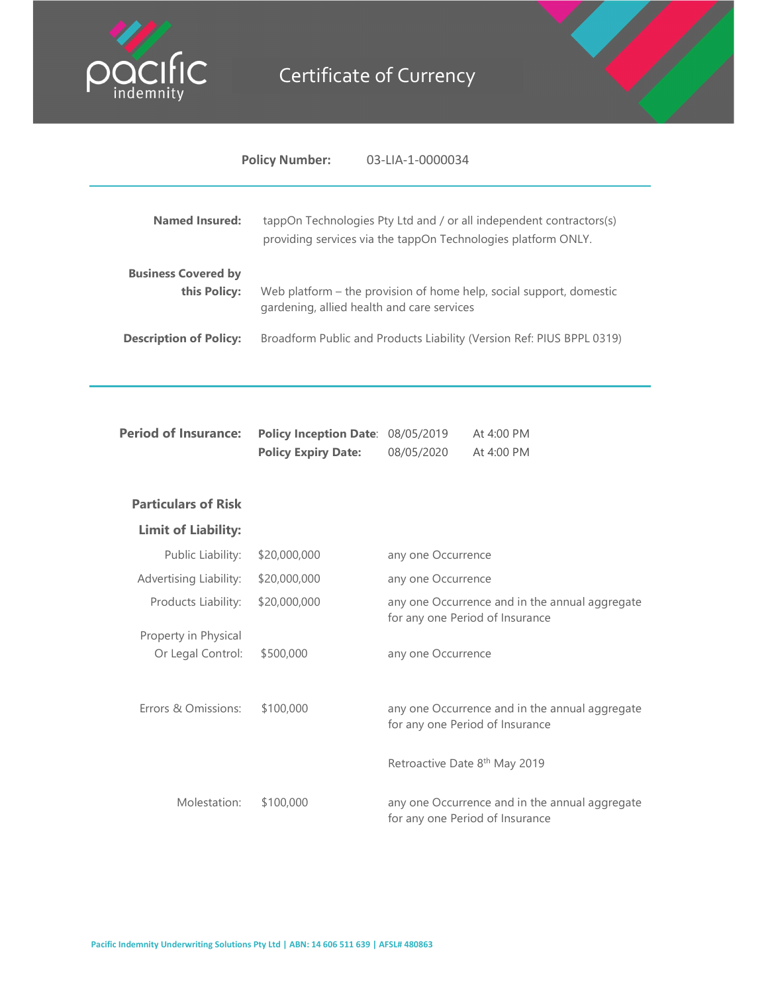

## Certificate of Currency



| <b>Named Insured:</b>                      |                                                                 | tappOn Technologies Pty Ltd and / or all independent contractors(s)<br>providing services via the tappOn Technologies platform ONLY. |  |
|--------------------------------------------|-----------------------------------------------------------------|--------------------------------------------------------------------------------------------------------------------------------------|--|
| <b>Business Covered by</b><br>this Policy: |                                                                 | Web platform - the provision of home help, social support, domestic<br>gardening, allied health and care services                    |  |
| <b>Description of Policy:</b>              |                                                                 | Broadform Public and Products Liability (Version Ref: PIUS BPPL 0319)                                                                |  |
| <b>Period of Insurance:</b>                | Policy Inception Date: 08/05/2019<br><b>Policy Expiry Date:</b> | At 4:00 PM<br>08/05/2020<br>At 4:00 PM                                                                                               |  |
| <b>Particulars of Risk</b>                 |                                                                 |                                                                                                                                      |  |
| <b>Limit of Liability:</b>                 |                                                                 |                                                                                                                                      |  |
| Public Liability:                          | \$20,000,000                                                    | any one Occurrence                                                                                                                   |  |
| Advertising Liability:                     | \$20,000,000                                                    | any one Occurrence                                                                                                                   |  |
| Products Liability:                        | \$20,000,000                                                    | any one Occurrence and in the annual aggregate<br>for any one Period of Insurance                                                    |  |
| Property in Physical<br>Or Legal Control:  | \$500,000                                                       | any one Occurrence                                                                                                                   |  |
| Errors & Omissions:                        | \$100,000                                                       | any one Occurrence and in the annual aggregate<br>for any one Period of Insurance                                                    |  |
|                                            |                                                                 | Retroactive Date 8th May 2019                                                                                                        |  |
| Molestation:                               | \$100,000                                                       | any one Occurrence and in the annual aggregate<br>for any one Period of Insurance                                                    |  |